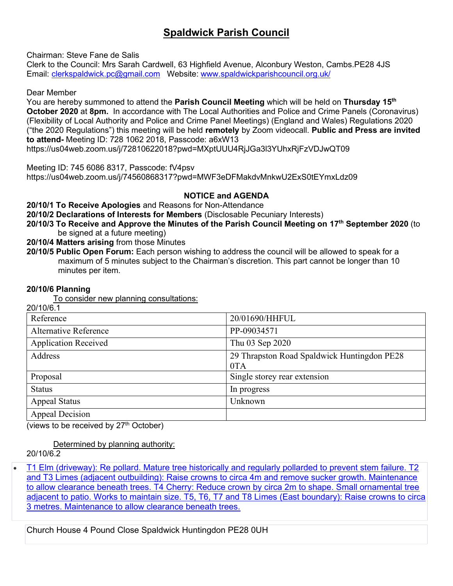# **Spaldwick Parish Council**

Chairman: Steve Fane de Salis

Clerk to the Council: Mrs Sarah Cardwell, 63 Highfield Avenue, Alconbury Weston, Cambs.PE28 4JS Email: [clerkspaldwick.pc@gmail.com](mailto:clerkspaldwick.pc@gmail.com) Website: [www.spaldwickparishcouncil.org.uk/](http://www.spaldwickparishcouncil.org.uk/)

Dear Member

You are hereby summoned to attend the **Parish Council Meeting** which will be held on **Thursday 15 th October 2020** at **8pm.** In accordance with The Local Authorities and Police and Crime Panels (Coronavirus) (Flexibility of Local Authority and Police and Crime Panel Meetings) (England and Wales) Regulations 2020 ("the 2020 Regulations") this meeting will be held **remotely** by Zoom videocall. **Public and Press are invited to attend-** Meeting ID: 728 1062 2018, Passcode: a6xW13 https://us04web.zoom.us/j/72810622018?pwd=MXptUUU4RjJGa3l3YUhxRjFzVDJwQT09

Meeting ID: 745 6086 8317, Passcode: fV4psv

https://us04web.zoom.us/j/74560868317?pwd=MWF3eDFMakdvMnkwU2ExS0tEYmxLdz09

**NOTICE and AGENDA**

**20/10/1 To Receive Apologies** and Reasons for Non-Attendance

**20/10/2 Declarations of Interests for Members** (Disclosable Pecuniary Interests)

- **20/10/3 To Receive and Approve the Minutes of the Parish Council Meeting on 17 th September 2020** (to be signed at a future meeting)
- **20/10/4 Matters arising** from those Minutes
- **20/10/5 Public Open Forum:** Each person wishing to address the council will be allowed to speak for a maximum of 5 minutes subject to the Chairman's discretion. This part cannot be longer than 10 minutes per item.

## **20/10/6 Planning**

To consider new planning consultations:  $20/10^{10}$ 

| 201 IU/0. I                 |                                                    |
|-----------------------------|----------------------------------------------------|
| Reference                   | 20/01690/HHFUL                                     |
| Alternative Reference       | PP-09034571                                        |
| <b>Application Received</b> | Thu 03 Sep 2020                                    |
| Address                     | 29 Thrapston Road Spaldwick Huntingdon PE28<br>0TA |
| Proposal                    | Single storey rear extension                       |
| <b>Status</b>               | In progress                                        |
| <b>Appeal Status</b>        | Unknown                                            |
| <b>Appeal Decision</b>      |                                                    |

(views to be received by  $27<sup>th</sup>$  October)

Determined by planning authority:

20/10/6.2

• [T1 Elm \(driveway\): Re pollard. Mature tree historically and regularly pollarded to prevent stem failure. T2](https://publicaccess.huntingdonshire.gov.uk/online-applications/applicationDetails.do?keyVal=QD95IYIKM0R00&activeTab=summary)  [and T3 Limes \(adjacent outbuilding\): Raise crowns to circa 4m and remove sucker growth. Maintenance](https://publicaccess.huntingdonshire.gov.uk/online-applications/applicationDetails.do?keyVal=QD95IYIKM0R00&activeTab=summary)  [to allow clearance beneath trees. T4 Cherry: Reduce crown by circa 2m to shape. Small ornamental tree](https://publicaccess.huntingdonshire.gov.uk/online-applications/applicationDetails.do?keyVal=QD95IYIKM0R00&activeTab=summary)  [adjacent to patio. Works to maintain size. T5, T6, T7 and T8 Limes \(East boundary\): Raise crowns to circa](https://publicaccess.huntingdonshire.gov.uk/online-applications/applicationDetails.do?keyVal=QD95IYIKM0R00&activeTab=summary)  [3 metres. Maintenance to allow clearance beneath trees.](https://publicaccess.huntingdonshire.gov.uk/online-applications/applicationDetails.do?keyVal=QD95IYIKM0R00&activeTab=summary)

Church House 4 Pound Close Spaldwick Huntingdon PE28 0UH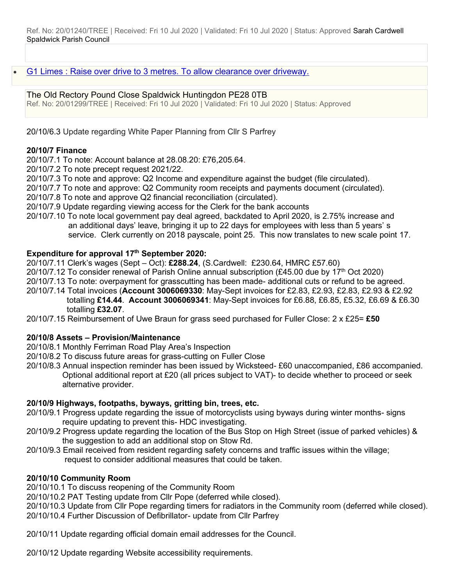• [G1 Limes : Raise over drive to 3 metres. To allow clearance over driveway.](https://publicaccess.huntingdonshire.gov.uk/online-applications/applicationDetails.do?keyVal=QDIIMNIK0DP00&activeTab=summary)

### The Old Rectory Pound Close Spaldwick Huntingdon PE28 0TB

Ref. No: 20/01299/TREE | Received: Fri 10 Jul 2020 | Validated: Fri 10 Jul 2020 | Status: Approved

20/10/6.3 Update regarding White Paper Planning from Cllr S Parfrey

#### **20/10/7 Finance**

20/10/7.1 To note: Account balance at 28.08.20: £76,205.64.

20/10/7.2 To note precept request 2021/22.

20/10/7.3 To note and approve: Q2 Income and expenditure against the budget (file circulated).

20/10/7.7 To note and approve: Q2 Community room receipts and payments document (circulated).

20/10/7.8 To note and approve Q2 financial reconciliation (circulated).

20/10/7.9 Update regarding viewing access for the Clerk for the bank accounts

20/10/7.10 To note local government pay deal agreed, backdated to April 2020, is 2.75% increase and an additional days' leave, bringing it up to 22 days for employees with less than 5 years' s service. Clerk currently on 2018 payscale, point 25. This now translates to new scale point 17.

### **Expenditure for approval 17 th September 2020:**

20/10/7.11 Clerk's wages (Sept – Oct): **£288.24**, (S.Cardwell: £230.64, HMRC £57.60)

20/10/7.12 To consider renewal of Parish Online annual subscription (£45.00 due by 17<sup>th</sup> Oct 2020)

20/10/7.13 To note: overpayment for grasscutting has been made- additional cuts or refund to be agreed.

20/10/7.14 Total invoices (**Account 3006069330**: May-Sept invoices for £2.83, £2.93, £2.83, £2.93 & £2.92 totalling **£14.44**. **Account 3006069341**: May-Sept invoices for £6.88, £6.85, £5.32, £6.69 & £6.30 totalling **£32.07**.

20/10/7.15 Reimbursement of Uwe Braun for grass seed purchased for Fuller Close: 2 x £25= **£50**

### **20/10/8 Assets – Provision/Maintenance**

20/10/8.1 Monthly Ferriman Road Play Area's Inspection

- 20/10/8.2 To discuss future areas for grass-cutting on Fuller Close
- 20/10/8.3 Annual inspection reminder has been issued by Wicksteed- £60 unaccompanied, £86 accompanied. Optional additional report at £20 (all prices subject to VAT)- to decide whether to proceed or seek alternative provider.

### **20/10/9 Highways, footpaths, byways, gritting bin, trees, etc.**

- 20/10/9.1 Progress update regarding the issue of motorcyclists using byways during winter months- signs require updating to prevent this- HDC investigating.
- 20/10/9.2 Progress update regarding the location of the Bus Stop on High Street (issue of parked vehicles) & the suggestion to add an additional stop on Stow Rd.
- 20/10/9.3 Email received from resident regarding safety concerns and traffic issues within the village; request to consider additional measures that could be taken.

### **20/10/10 Community Room**

20/10/10.1 To discuss reopening of the Community Room

20/10/10.2 PAT Testing update from Cllr Pope (deferred while closed).

20/10/10.3 Update from Cllr Pope regarding timers for radiators in the Community room (deferred while closed). 20/10/10.4 Further Discussion of Defibrillator- update from Cllr Parfrey

20/10/11 Update regarding official domain email addresses for the Council.

20/10/12 Update regarding Website accessibility requirements.